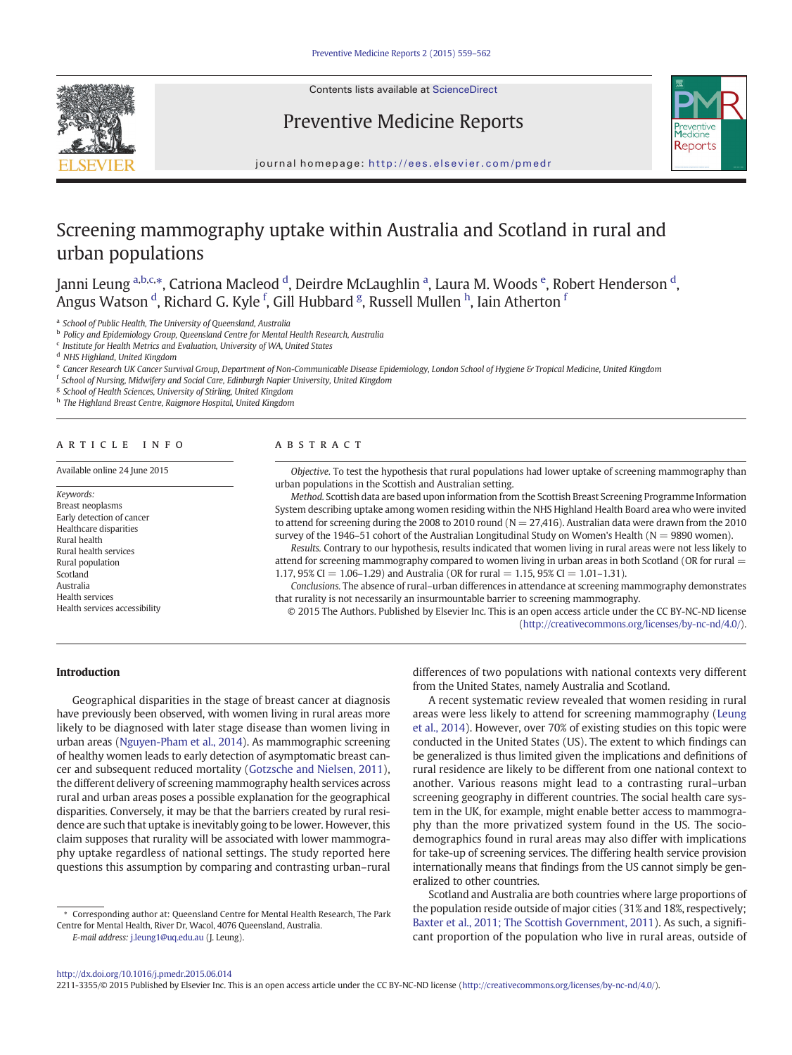

Contents lists available at [ScienceDirect](http://www.sciencedirect.com/science/journal/)

# Preventive Medicine Reports



journal homepage: <http://ees.elsevier.com/pmedr>

# Screening mammography uptake within Australia and Scotland in rural and urban populations

Janni Leung <sup>a,b,c,</sup>\*, Catriona Macleod <sup>d</sup>, Deirdre McLaughlin <sup>a</sup>, Laura M. Woods <sup>e</sup>, Robert Henderson <sup>d</sup>, Angus Watson <sup>d</sup>, Richard G. Kyle <sup>f</sup>, Gill Hubbard <sup>g</sup>, Russell Mullen <sup>h</sup>, Iain Atherton <sup>f</sup>

<sup>a</sup> School of Public Health, The University of Queensland, Australia

**b** Policy and Epidemiology Group, Queensland Centre for Mental Health Research, Australia

 $c$  Institute for Health Metrics and Evaluation, University of WA, United States

<sup>d</sup> NHS Highland, United Kingdom

<sup>e</sup> Cancer Research UK Cancer Survival Group, Department of Non-Communicable Disease Epidemiology, London School of Hygiene & Tropical Medicine, United Kingdom

<sup>f</sup> School of Nursing, Midwifery and Social Care, Edinburgh Napier University, United Kingdom

<sup>g</sup> School of Health Sciences, University of Stirling, United Kingdom

h The Highland Breast Centre, Raigmore Hospital, United Kingdom

# article info abstract

Available online 24 June 2015

Keywords: Breast neoplasms Early detection of cancer Healthcare disparities Rural health Rural health services Rural population Scotland Australia Health services Health services accessibility

Objective. To test the hypothesis that rural populations had lower uptake of screening mammography than urban populations in the Scottish and Australian setting.

Method. Scottish data are based upon information from the Scottish Breast Screening Programme Information System describing uptake among women residing within the NHS Highland Health Board area who were invited to attend for screening during the 2008 to 2010 round ( $N = 27,416$ ). Australian data were drawn from the 2010 survey of the 1946–51 cohort of the Australian Longitudinal Study on Women's Health ( $N = 9890$  women).

Results. Contrary to our hypothesis, results indicated that women living in rural areas were not less likely to attend for screening mammography compared to women living in urban areas in both Scotland (OR for rural = 1.17, 95% CI = 1.06–1.29) and Australia (OR for rural = 1.15, 95% CI = 1.01–1.31).

Conclusions. The absence of rural–urban differences in attendance at screening mammography demonstrates that rurality is not necessarily an insurmountable barrier to screening mammography.

© 2015 The Authors. Published by Elsevier Inc. This is an open access article under the CC BY-NC-ND license ([http://creativecommons.org/licenses/by-nc-nd/4.0/\)](http://creativecommons.org/licenses/by-nc-nd/4.0/).

Introduction

Geographical disparities in the stage of breast cancer at diagnosis have previously been observed, with women living in rural areas more likely to be diagnosed with later stage disease than women living in urban areas [\(Nguyen-Pham et al., 2014](#page-3-0)). As mammographic screening of healthy women leads to early detection of asymptomatic breast cancer and subsequent reduced mortality [\(Gotzsche and Nielsen, 2011](#page-3-0)), the different delivery of screening mammography health services across rural and urban areas poses a possible explanation for the geographical disparities. Conversely, it may be that the barriers created by rural residence are such that uptake is inevitably going to be lower. However, this claim supposes that rurality will be associated with lower mammography uptake regardless of national settings. The study reported here questions this assumption by comparing and contrasting urban–rural

⁎ Corresponding author at: Queensland Centre for Mental Health Research, The Park Centre for Mental Health, River Dr, Wacol, 4076 Queensland, Australia.

E-mail address: [j.leung1@uq.edu.au](mailto:j.leung1@uq.edu.au) (J. Leung).

differences of two populations with national contexts very different from the United States, namely Australia and Scotland.

A recent systematic review revealed that women residing in rural areas were less likely to attend for screening mammography [\(Leung](#page-3-0) [et al., 2014\)](#page-3-0). However, over 70% of existing studies on this topic were conducted in the United States (US). The extent to which findings can be generalized is thus limited given the implications and definitions of rural residence are likely to be different from one national context to another. Various reasons might lead to a contrasting rural–urban screening geography in different countries. The social health care system in the UK, for example, might enable better access to mammography than the more privatized system found in the US. The sociodemographics found in rural areas may also differ with implications for take-up of screening services. The differing health service provision internationally means that findings from the US cannot simply be generalized to other countries.

Scotland and Australia are both countries where large proportions of the population reside outside of major cities (31% and 18%, respectively; [Baxter et al., 2011; The Scottish Government, 2011\)](#page-3-0). As such, a significant proportion of the population who live in rural areas, outside of

2211-3355/© 2015 Published by Elsevier Inc. This is an open access article under the CC BY-NC-ND license (<http://creativecommons.org/licenses/by-nc-nd/4.0/>).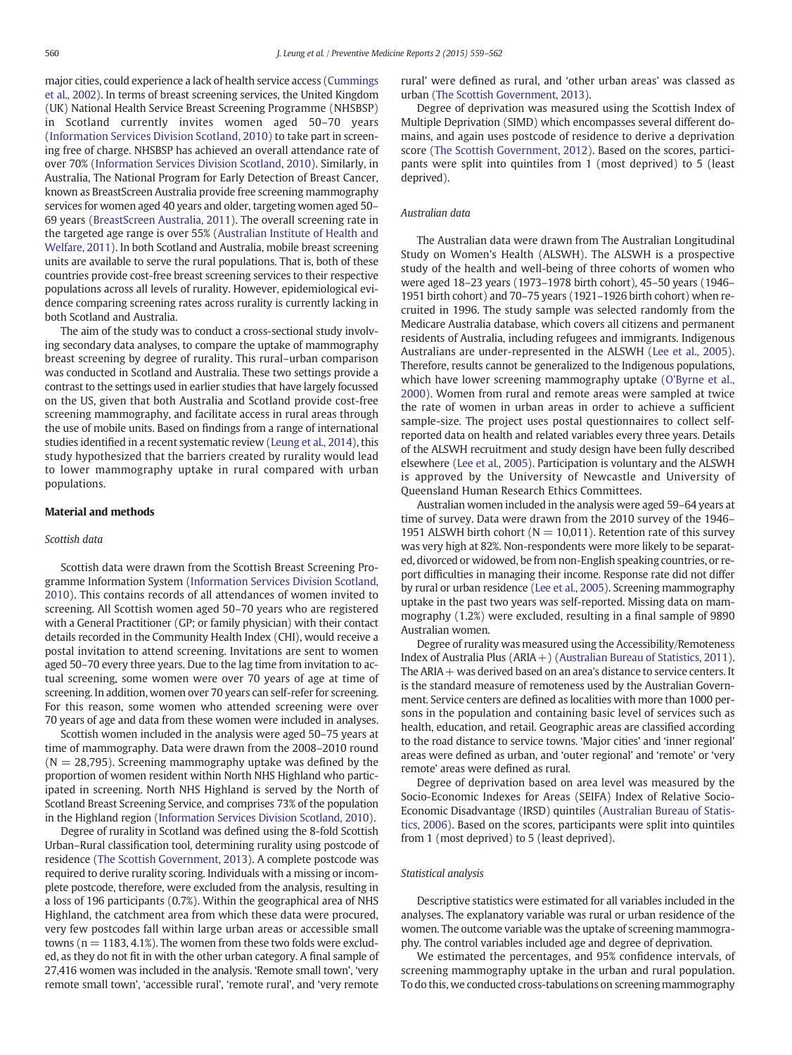major cities, could experience a lack of health service access ([Cummings](#page-3-0) [et al., 2002](#page-3-0)). In terms of breast screening services, the United Kingdom (UK) National Health Service Breast Screening Programme (NHSBSP) in Scotland currently invites women aged 50–70 years [\(Information Services Division Scotland, 2010](#page-3-0)) to take part in screening free of charge. NHSBSP has achieved an overall attendance rate of over 70% ([Information Services Division Scotland, 2010\)](#page-3-0). Similarly, in Australia, The National Program for Early Detection of Breast Cancer, known as BreastScreen Australia provide free screening mammography services for women aged 40 years and older, targeting women aged 50– 69 years [\(BreastScreen Australia, 2011\)](#page-3-0). The overall screening rate in the targeted age range is over 55% ([Australian Institute of Health and](#page-3-0) [Welfare, 2011](#page-3-0)). In both Scotland and Australia, mobile breast screening units are available to serve the rural populations. That is, both of these countries provide cost-free breast screening services to their respective populations across all levels of rurality. However, epidemiological evidence comparing screening rates across rurality is currently lacking in both Scotland and Australia.

The aim of the study was to conduct a cross-sectional study involving secondary data analyses, to compare the uptake of mammography breast screening by degree of rurality. This rural–urban comparison was conducted in Scotland and Australia. These two settings provide a contrast to the settings used in earlier studies that have largely focussed on the US, given that both Australia and Scotland provide cost-free screening mammography, and facilitate access in rural areas through the use of mobile units. Based on findings from a range of international studies identified in a recent systematic review ([Leung et al., 2014\)](#page-3-0), this study hypothesized that the barriers created by rurality would lead to lower mammography uptake in rural compared with urban populations.

#### Material and methods

#### Scottish data

Scottish data were drawn from the Scottish Breast Screening Programme Information System [\(Information Services Division Scotland,](#page-3-0) [2010](#page-3-0)). This contains records of all attendances of women invited to screening. All Scottish women aged 50–70 years who are registered with a General Practitioner (GP; or family physician) with their contact details recorded in the Community Health Index (CHI), would receive a postal invitation to attend screening. Invitations are sent to women aged 50–70 every three years. Due to the lag time from invitation to actual screening, some women were over 70 years of age at time of screening. In addition, women over 70 years can self-refer for screening. For this reason, some women who attended screening were over 70 years of age and data from these women were included in analyses.

Scottish women included in the analysis were aged 50–75 years at time of mammography. Data were drawn from the 2008–2010 round  $(N = 28,795)$ . Screening mammography uptake was defined by the proportion of women resident within North NHS Highland who participated in screening. North NHS Highland is served by the North of Scotland Breast Screening Service, and comprises 73% of the population in the Highland region [\(Information Services Division Scotland, 2010\)](#page-3-0).

Degree of rurality in Scotland was defined using the 8-fold Scottish Urban–Rural classification tool, determining rurality using postcode of residence ([The Scottish Government, 2013](#page-3-0)). A complete postcode was required to derive rurality scoring. Individuals with a missing or incomplete postcode, therefore, were excluded from the analysis, resulting in a loss of 196 participants (0.7%). Within the geographical area of NHS Highland, the catchment area from which these data were procured, very few postcodes fall within large urban areas or accessible small towns ( $n = 1183, 4.1\%$ ). The women from these two folds were excluded, as they do not fit in with the other urban category. A final sample of 27,416 women was included in the analysis. 'Remote small town', 'very remote small town', 'accessible rural', 'remote rural', and 'very remote

rural' were defined as rural, and 'other urban areas' was classed as urban [\(The Scottish Government, 2013\)](#page-3-0).

Degree of deprivation was measured using the Scottish Index of Multiple Deprivation (SIMD) which encompasses several different domains, and again uses postcode of residence to derive a deprivation score ([The Scottish Government, 2012](#page-3-0)). Based on the scores, participants were split into quintiles from 1 (most deprived) to 5 (least deprived).

#### Australian data

The Australian data were drawn from The Australian Longitudinal Study on Women's Health (ALSWH). The ALSWH is a prospective study of the health and well-being of three cohorts of women who were aged 18–23 years (1973–1978 birth cohort), 45–50 years (1946– 1951 birth cohort) and 70–75 years (1921–1926 birth cohort) when recruited in 1996. The study sample was selected randomly from the Medicare Australia database, which covers all citizens and permanent residents of Australia, including refugees and immigrants. Indigenous Australians are under-represented in the ALSWH ([Lee et al., 2005](#page-3-0)). Therefore, results cannot be generalized to the Indigenous populations, which have lower screening mammography uptake ([O'Byrne et al.,](#page-3-0) [2000](#page-3-0)). Women from rural and remote areas were sampled at twice the rate of women in urban areas in order to achieve a sufficient sample-size. The project uses postal questionnaires to collect selfreported data on health and related variables every three years. Details of the ALSWH recruitment and study design have been fully described elsewhere ([Lee et al., 2005\)](#page-3-0). Participation is voluntary and the ALSWH is approved by the University of Newcastle and University of Queensland Human Research Ethics Committees.

Australian women included in the analysis were aged 59–64 years at time of survey. Data were drawn from the 2010 survey of the 1946– 1951 ALSWH birth cohort ( $N = 10,011$ ). Retention rate of this survey was very high at 82%. Non-respondents were more likely to be separated, divorced or widowed, be from non-English speaking countries, or report difficulties in managing their income. Response rate did not differ by rural or urban residence ([Lee et al., 2005](#page-3-0)). Screening mammography uptake in the past two years was self-reported. Missing data on mammography (1.2%) were excluded, resulting in a final sample of 9890 Australian women.

Degree of rurality was measured using the Accessibility/Remoteness Index of Australia Plus ( $ARIA$  + ) ([Australian Bureau of Statistics, 2011\)](#page-3-0). The ARIA  $+$  was derived based on an area's distance to service centers. It is the standard measure of remoteness used by the Australian Government. Service centers are defined as localities with more than 1000 persons in the population and containing basic level of services such as health, education, and retail. Geographic areas are classified according to the road distance to service towns. 'Major cities' and 'inner regional' areas were defined as urban, and 'outer regional' and 'remote' or 'very remote' areas were defined as rural.

Degree of deprivation based on area level was measured by the Socio-Economic Indexes for Areas (SEIFA) Index of Relative Socio-Economic Disadvantage (IRSD) quintiles ([Australian Bureau of Statis](#page-3-0)[tics, 2006\)](#page-3-0). Based on the scores, participants were split into quintiles from 1 (most deprived) to 5 (least deprived).

#### Statistical analysis

Descriptive statistics were estimated for all variables included in the analyses. The explanatory variable was rural or urban residence of the women. The outcome variable was the uptake of screening mammography. The control variables included age and degree of deprivation.

We estimated the percentages, and 95% confidence intervals, of screening mammography uptake in the urban and rural population. To do this, we conducted cross-tabulations on screening mammography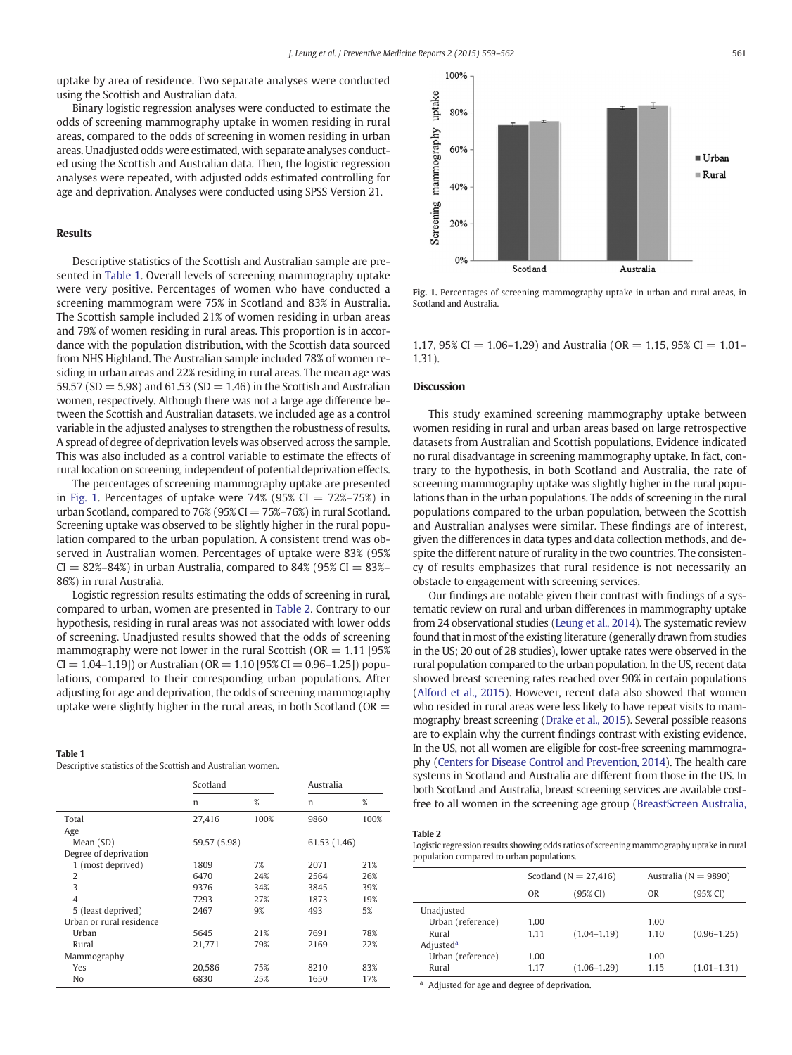uptake by area of residence. Two separate analyses were conducted using the Scottish and Australian data.

Binary logistic regression analyses were conducted to estimate the odds of screening mammography uptake in women residing in rural areas, compared to the odds of screening in women residing in urban areas. Unadjusted odds were estimated, with separate analyses conducted using the Scottish and Australian data. Then, the logistic regression analyses were repeated, with adjusted odds estimated controlling for age and deprivation. Analyses were conducted using SPSS Version 21.

# Results

Descriptive statistics of the Scottish and Australian sample are presented in Table 1. Overall levels of screening mammography uptake were very positive. Percentages of women who have conducted a screening mammogram were 75% in Scotland and 83% in Australia. The Scottish sample included 21% of women residing in urban areas and 79% of women residing in rural areas. This proportion is in accordance with the population distribution, with the Scottish data sourced from NHS Highland. The Australian sample included 78% of women residing in urban areas and 22% residing in rural areas. The mean age was 59.57 (SD = 5.98) and 61.53 (SD = 1.46) in the Scottish and Australian women, respectively. Although there was not a large age difference between the Scottish and Australian datasets, we included age as a control variable in the adjusted analyses to strengthen the robustness of results. A spread of degree of deprivation levels was observed across the sample. This was also included as a control variable to estimate the effects of rural location on screening, independent of potential deprivation effects.

The percentages of screening mammography uptake are presented in Fig. 1. Percentages of uptake were  $74\%$  (95% CI =  $72\%$ –75%) in urban Scotland, compared to 76% (95% CI  $= 75% - 76%$ ) in rural Scotland. Screening uptake was observed to be slightly higher in the rural population compared to the urban population. A consistent trend was observed in Australian women. Percentages of uptake were 83% (95%  $CI = 82\% - 84\%)$  in urban Australia, compared to 84% (95%  $CI = 83\% -$ 86%) in rural Australia.

Logistic regression results estimating the odds of screening in rural, compared to urban, women are presented in Table 2. Contrary to our hypothesis, residing in rural areas was not associated with lower odds of screening. Unadjusted results showed that the odds of screening mammography were not lower in the rural Scottish ( $OR = 1.11$  [95%  $CI = 1.04 - 1.19$ ] or Australian ( $OR = 1.10$  [95%  $CI = 0.96 - 1.25$ ]) populations, compared to their corresponding urban populations. After adjusting for age and deprivation, the odds of screening mammography uptake were slightly higher in the rural areas, in both Scotland ( $OR =$ 

# Table 1

Descriptive statistics of the Scottish and Australian women.

|                          | Scotland     |      | Australia    |      |
|--------------------------|--------------|------|--------------|------|
|                          | n            | %    | n            | %    |
| Total                    | 27.416       | 100% | 9860         | 100% |
| Age                      |              |      |              |      |
| Mean (SD)                | 59.57 (5.98) |      | 61.53 (1.46) |      |
| Degree of deprivation    |              |      |              |      |
| 1 (most deprived)        | 1809         | 7%   | 2071         | 21%  |
| 2                        | 6470         | 24%  | 2564         | 26%  |
| 3                        | 9376         | 34%  | 3845         | 39%  |
| $\overline{4}$           | 7293         | 27%  | 1873         | 19%  |
| 5 (least deprived)       | 2467         | 9%   | 493          | 5%   |
| Urban or rural residence |              |      |              |      |
| Urban                    | 5645         | 21%  | 7691         | 78%  |
| Rural                    | 21.771       | 79%  | 2169         | 22%  |
| Mammography              |              |      |              |      |
| Yes                      | 20.586       | 75%  | 8210         | 83%  |
| No                       | 6830         | 25%  | 1650         | 17%  |



Fig. 1. Percentages of screening mammography uptake in urban and rural areas, in Scotland and Australia.

1.17, 95% CI = 1.06-1.29) and Australia (OR = 1.15, 95% CI = 1.01-1.31).

## Discussion

This study examined screening mammography uptake between women residing in rural and urban areas based on large retrospective datasets from Australian and Scottish populations. Evidence indicated no rural disadvantage in screening mammography uptake. In fact, contrary to the hypothesis, in both Scotland and Australia, the rate of screening mammography uptake was slightly higher in the rural populations than in the urban populations. The odds of screening in the rural populations compared to the urban population, between the Scottish and Australian analyses were similar. These findings are of interest, given the differences in data types and data collection methods, and despite the different nature of rurality in the two countries. The consistency of results emphasizes that rural residence is not necessarily an obstacle to engagement with screening services.

Our findings are notable given their contrast with findings of a systematic review on rural and urban differences in mammography uptake from 24 observational studies [\(Leung et al., 2014\)](#page-3-0). The systematic review found that in most of the existing literature (generally drawn from studies in the US; 20 out of 28 studies), lower uptake rates were observed in the rural population compared to the urban population. In the US, recent data showed breast screening rates reached over 90% in certain populations [\(Alford et al., 2015\)](#page-3-0). However, recent data also showed that women who resided in rural areas were less likely to have repeat visits to mammography breast screening [\(Drake et al., 2015\)](#page-3-0). Several possible reasons are to explain why the current findings contrast with existing evidence. In the US, not all women are eligible for cost-free screening mammography [\(Centers for Disease Control and Prevention, 2014\)](#page-3-0). The health care systems in Scotland and Australia are different from those in the US. In both Scotland and Australia, breast screening services are available costfree to all women in the screening age group [\(BreastScreen Australia,](#page-3-0)

## Table 2

Logistic regression results showing odds ratios of screening mammography uptake in rural population compared to urban populations.

|                       | Scotland ( $N = 27,416$ ) |                 |           | Australia ( $N = 9890$ ) |  |
|-----------------------|---------------------------|-----------------|-----------|--------------------------|--|
|                       | 0 <sub>R</sub>            | (95% CI)        | <b>OR</b> | (95% CI)                 |  |
| Unadjusted            |                           |                 |           |                          |  |
| Urban (reference)     | 1.00                      |                 | 1.00      |                          |  |
| Rural                 | 1.11                      | $(1.04 - 1.19)$ | 1.10      | $(0.96 - 1.25)$          |  |
| Adjusted <sup>a</sup> |                           |                 |           |                          |  |
| Urban (reference)     | 1.00                      |                 | 1.00      |                          |  |
| Rural                 | 1.17                      | $(1.06 - 1.29)$ | 1.15      | $(1.01 - 1.31)$          |  |

<sup>a</sup> Adjusted for age and degree of deprivation.